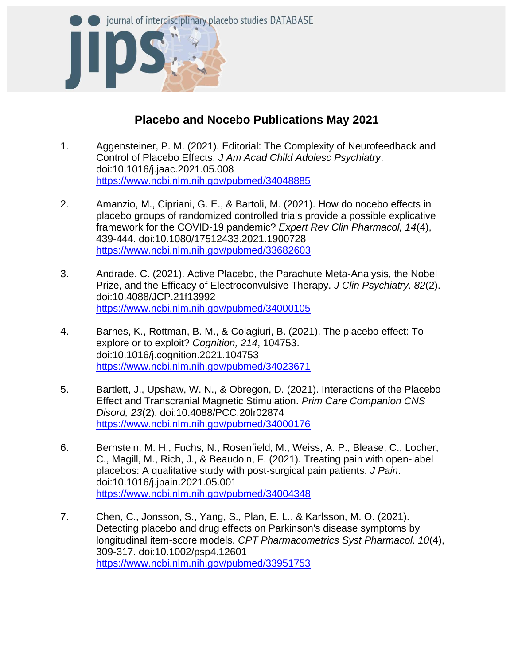

## **Placebo and Nocebo Publications May 2021**

- 1. Aggensteiner, P. M. (2021). Editorial: The Complexity of Neurofeedback and Control of Placebo Effects. *J Am Acad Child Adolesc Psychiatry*. doi:10.1016/j.jaac.2021.05.008 <https://www.ncbi.nlm.nih.gov/pubmed/34048885>
- 2. Amanzio, M., Cipriani, G. E., & Bartoli, M. (2021). How do nocebo effects in placebo groups of randomized controlled trials provide a possible explicative framework for the COVID-19 pandemic? *Expert Rev Clin Pharmacol, 14*(4), 439-444. doi:10.1080/17512433.2021.1900728 <https://www.ncbi.nlm.nih.gov/pubmed/33682603>
- 3. Andrade, C. (2021). Active Placebo, the Parachute Meta-Analysis, the Nobel Prize, and the Efficacy of Electroconvulsive Therapy. *J Clin Psychiatry, 82*(2). doi:10.4088/JCP.21f13992 <https://www.ncbi.nlm.nih.gov/pubmed/34000105>
- 4. Barnes, K., Rottman, B. M., & Colagiuri, B. (2021). The placebo effect: To explore or to exploit? *Cognition, 214*, 104753. doi:10.1016/j.cognition.2021.104753 <https://www.ncbi.nlm.nih.gov/pubmed/34023671>
- 5. Bartlett, J., Upshaw, W. N., & Obregon, D. (2021). Interactions of the Placebo Effect and Transcranial Magnetic Stimulation. *Prim Care Companion CNS Disord, 23*(2). doi:10.4088/PCC.20lr02874 <https://www.ncbi.nlm.nih.gov/pubmed/34000176>
- 6. Bernstein, M. H., Fuchs, N., Rosenfield, M., Weiss, A. P., Blease, C., Locher, C., Magill, M., Rich, J., & Beaudoin, F. (2021). Treating pain with open-label placebos: A qualitative study with post-surgical pain patients. *J Pain*. doi:10.1016/j.jpain.2021.05.001 <https://www.ncbi.nlm.nih.gov/pubmed/34004348>
- 7. Chen, C., Jonsson, S., Yang, S., Plan, E. L., & Karlsson, M. O. (2021). Detecting placebo and drug effects on Parkinson's disease symptoms by longitudinal item-score models. *CPT Pharmacometrics Syst Pharmacol, 10*(4), 309-317. doi:10.1002/psp4.12601 <https://www.ncbi.nlm.nih.gov/pubmed/33951753>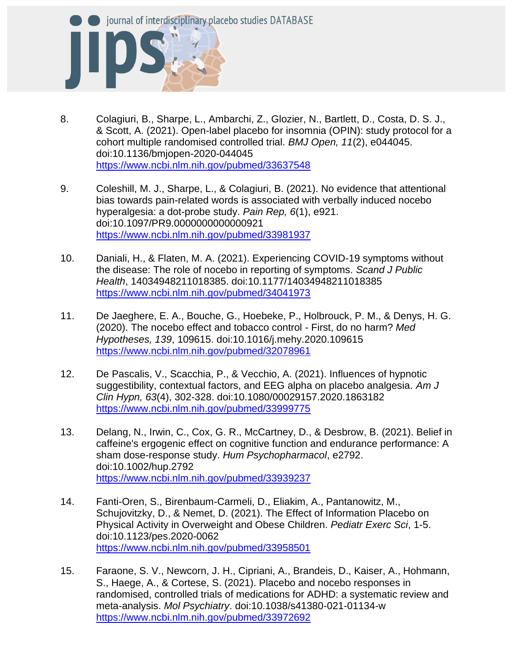

- 8. Colagiuri, B., Sharpe, L., Ambarchi, Z., Glozier, N., Bartlett, D., Costa, D. S. J., & Scott, A. (2021). Open-label placebo for insomnia (OPIN): study protocol for a cohort multiple randomised controlled trial. *BMJ Open, 11*(2), e044045. doi:10.1136/bmjopen-2020-044045 <https://www.ncbi.nlm.nih.gov/pubmed/33637548>
- 9. Coleshill, M. J., Sharpe, L., & Colagiuri, B. (2021). No evidence that attentional bias towards pain-related words is associated with verbally induced nocebo hyperalgesia: a dot-probe study. *Pain Rep, 6*(1), e921. doi:10.1097/PR9.0000000000000921 <https://www.ncbi.nlm.nih.gov/pubmed/33981937>
- 10. Daniali, H., & Flaten, M. A. (2021). Experiencing COVID-19 symptoms without the disease: The role of nocebo in reporting of symptoms. *Scand J Public Health*, 14034948211018385. doi:10.1177/14034948211018385 <https://www.ncbi.nlm.nih.gov/pubmed/34041973>
- 11. De Jaeghere, E. A., Bouche, G., Hoebeke, P., Holbrouck, P. M., & Denys, H. G. (2020). The nocebo effect and tobacco control - First, do no harm? *Med Hypotheses, 139*, 109615. doi:10.1016/j.mehy.2020.109615 <https://www.ncbi.nlm.nih.gov/pubmed/32078961>
- 12. De Pascalis, V., Scacchia, P., & Vecchio, A. (2021). Influences of hypnotic suggestibility, contextual factors, and EEG alpha on placebo analgesia. *Am J Clin Hypn, 63*(4), 302-328. doi:10.1080/00029157.2020.1863182 <https://www.ncbi.nlm.nih.gov/pubmed/33999775>
- 13. Delang, N., Irwin, C., Cox, G. R., McCartney, D., & Desbrow, B. (2021). Belief in caffeine's ergogenic effect on cognitive function and endurance performance: A sham dose-response study. *Hum Psychopharmacol*, e2792. doi:10.1002/hup.2792 <https://www.ncbi.nlm.nih.gov/pubmed/33939237>
- 14. Fanti-Oren, S., Birenbaum-Carmeli, D., Eliakim, A., Pantanowitz, M., Schujovitzky, D., & Nemet, D. (2021). The Effect of Information Placebo on Physical Activity in Overweight and Obese Children. *Pediatr Exerc Sci*, 1-5. doi:10.1123/pes.2020-0062 <https://www.ncbi.nlm.nih.gov/pubmed/33958501>
- 15. Faraone, S. V., Newcorn, J. H., Cipriani, A., Brandeis, D., Kaiser, A., Hohmann, S., Haege, A., & Cortese, S. (2021). Placebo and nocebo responses in randomised, controlled trials of medications for ADHD: a systematic review and meta-analysis. *Mol Psychiatry*. doi:10.1038/s41380-021-01134-w <https://www.ncbi.nlm.nih.gov/pubmed/33972692>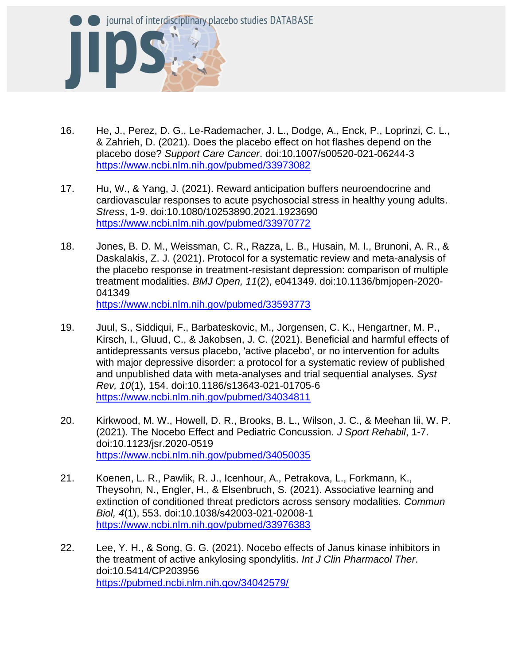

- 16. He, J., Perez, D. G., Le-Rademacher, J. L., Dodge, A., Enck, P., Loprinzi, C. L., & Zahrieh, D. (2021). Does the placebo effect on hot flashes depend on the placebo dose? *Support Care Cancer*. doi:10.1007/s00520-021-06244-3 <https://www.ncbi.nlm.nih.gov/pubmed/33973082>
- 17. Hu, W., & Yang, J. (2021). Reward anticipation buffers neuroendocrine and cardiovascular responses to acute psychosocial stress in healthy young adults. *Stress*, 1-9. doi:10.1080/10253890.2021.1923690 <https://www.ncbi.nlm.nih.gov/pubmed/33970772>
- 18. Jones, B. D. M., Weissman, C. R., Razza, L. B., Husain, M. I., Brunoni, A. R., & Daskalakis, Z. J. (2021). Protocol for a systematic review and meta-analysis of the placebo response in treatment-resistant depression: comparison of multiple treatment modalities. *BMJ Open, 11*(2), e041349. doi:10.1136/bmjopen-2020- 041349 <https://www.ncbi.nlm.nih.gov/pubmed/33593773>
- 19. Juul, S., Siddiqui, F., Barbateskovic, M., Jorgensen, C. K., Hengartner, M. P., Kirsch, I., Gluud, C., & Jakobsen, J. C. (2021). Beneficial and harmful effects of antidepressants versus placebo, 'active placebo', or no intervention for adults with major depressive disorder: a protocol for a systematic review of published and unpublished data with meta-analyses and trial sequential analyses. *Syst Rev, 10*(1), 154. doi:10.1186/s13643-021-01705-6 <https://www.ncbi.nlm.nih.gov/pubmed/34034811>
- 20. Kirkwood, M. W., Howell, D. R., Brooks, B. L., Wilson, J. C., & Meehan Iii, W. P. (2021). The Nocebo Effect and Pediatric Concussion. *J Sport Rehabil*, 1-7. doi:10.1123/jsr.2020-0519 <https://www.ncbi.nlm.nih.gov/pubmed/34050035>
- 21. Koenen, L. R., Pawlik, R. J., Icenhour, A., Petrakova, L., Forkmann, K., Theysohn, N., Engler, H., & Elsenbruch, S. (2021). Associative learning and extinction of conditioned threat predictors across sensory modalities. *Commun Biol, 4*(1), 553. doi:10.1038/s42003-021-02008-1 <https://www.ncbi.nlm.nih.gov/pubmed/33976383>
- 22. Lee, Y. H., & Song, G. G. (2021). Nocebo effects of Janus kinase inhibitors in the treatment of active ankylosing spondylitis. *Int J Clin Pharmacol Ther*. doi:10.5414/CP203956 <https://pubmed.ncbi.nlm.nih.gov/34042579/>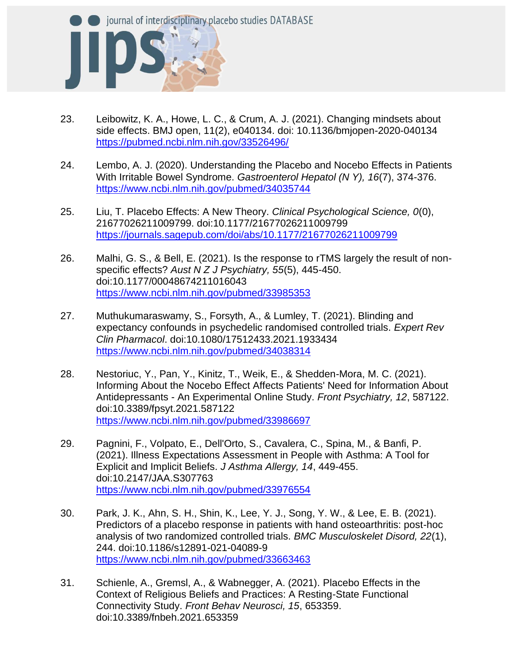

- 23. Leibowitz, K. A., Howe, L. C., & Crum, A. J. (2021). Changing mindsets about side effects. BMJ open, 11(2), e040134. doi: 10.1136/bmjopen-2020-040134 <https://pubmed.ncbi.nlm.nih.gov/33526496/>
- 24. Lembo, A. J. (2020). Understanding the Placebo and Nocebo Effects in Patients With Irritable Bowel Syndrome. *Gastroenterol Hepatol (N Y), 16*(7), 374-376. <https://www.ncbi.nlm.nih.gov/pubmed/34035744>
- 25. Liu, T. Placebo Effects: A New Theory. *Clinical Psychological Science, 0*(0), 21677026211009799. doi:10.1177/21677026211009799 <https://journals.sagepub.com/doi/abs/10.1177/21677026211009799>
- 26. Malhi, G. S., & Bell, E. (2021). Is the response to rTMS largely the result of nonspecific effects? *Aust N Z J Psychiatry, 55*(5), 445-450. doi:10.1177/00048674211016043 <https://www.ncbi.nlm.nih.gov/pubmed/33985353>
- 27. Muthukumaraswamy, S., Forsyth, A., & Lumley, T. (2021). Blinding and expectancy confounds in psychedelic randomised controlled trials. *Expert Rev Clin Pharmacol*. doi:10.1080/17512433.2021.1933434 <https://www.ncbi.nlm.nih.gov/pubmed/34038314>
- 28. Nestoriuc, Y., Pan, Y., Kinitz, T., Weik, E., & Shedden-Mora, M. C. (2021). Informing About the Nocebo Effect Affects Patients' Need for Information About Antidepressants - An Experimental Online Study. *Front Psychiatry, 12*, 587122. doi:10.3389/fpsyt.2021.587122 <https://www.ncbi.nlm.nih.gov/pubmed/33986697>
- 29. Pagnini, F., Volpato, E., Dell'Orto, S., Cavalera, C., Spina, M., & Banfi, P. (2021). Illness Expectations Assessment in People with Asthma: A Tool for Explicit and Implicit Beliefs. *J Asthma Allergy, 14*, 449-455. doi:10.2147/JAA.S307763 <https://www.ncbi.nlm.nih.gov/pubmed/33976554>
- 30. Park, J. K., Ahn, S. H., Shin, K., Lee, Y. J., Song, Y. W., & Lee, E. B. (2021). Predictors of a placebo response in patients with hand osteoarthritis: post-hoc analysis of two randomized controlled trials. *BMC Musculoskelet Disord, 22*(1), 244. doi:10.1186/s12891-021-04089-9 <https://www.ncbi.nlm.nih.gov/pubmed/33663463>
- 31. Schienle, A., Gremsl, A., & Wabnegger, A. (2021). Placebo Effects in the Context of Religious Beliefs and Practices: A Resting-State Functional Connectivity Study. *Front Behav Neurosci, 15*, 653359. doi:10.3389/fnbeh.2021.653359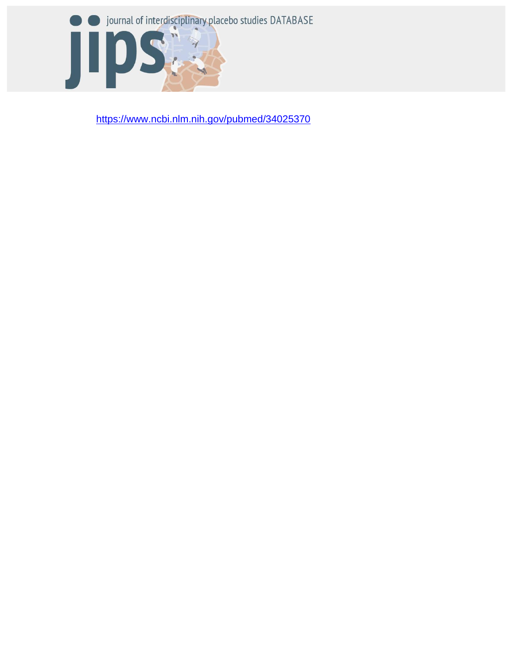

<https://www.ncbi.nlm.nih.gov/pubmed/34025370>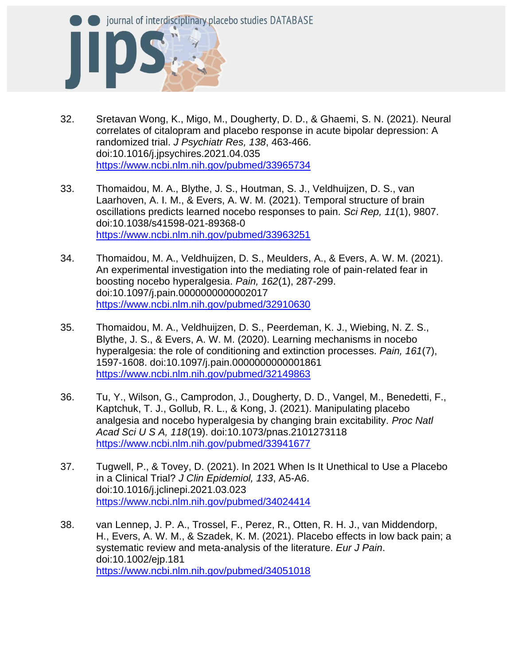

- 32. Sretavan Wong, K., Migo, M., Dougherty, D. D., & Ghaemi, S. N. (2021). Neural correlates of citalopram and placebo response in acute bipolar depression: A randomized trial. *J Psychiatr Res, 138*, 463-466. doi:10.1016/j.jpsychires.2021.04.035 <https://www.ncbi.nlm.nih.gov/pubmed/33965734>
- 33. Thomaidou, M. A., Blythe, J. S., Houtman, S. J., Veldhuijzen, D. S., van Laarhoven, A. I. M., & Evers, A. W. M. (2021). Temporal structure of brain oscillations predicts learned nocebo responses to pain. *Sci Rep, 11*(1), 9807. doi:10.1038/s41598-021-89368-0 <https://www.ncbi.nlm.nih.gov/pubmed/33963251>
- 34. Thomaidou, M. A., Veldhuijzen, D. S., Meulders, A., & Evers, A. W. M. (2021). An experimental investigation into the mediating role of pain-related fear in boosting nocebo hyperalgesia. *Pain, 162*(1), 287-299. doi:10.1097/j.pain.0000000000002017 <https://www.ncbi.nlm.nih.gov/pubmed/32910630>
- 35. Thomaidou, M. A., Veldhuijzen, D. S., Peerdeman, K. J., Wiebing, N. Z. S., Blythe, J. S., & Evers, A. W. M. (2020). Learning mechanisms in nocebo hyperalgesia: the role of conditioning and extinction processes. *Pain, 161*(7), 1597-1608. doi:10.1097/j.pain.0000000000001861 <https://www.ncbi.nlm.nih.gov/pubmed/32149863>
- 36. Tu, Y., Wilson, G., Camprodon, J., Dougherty, D. D., Vangel, M., Benedetti, F., Kaptchuk, T. J., Gollub, R. L., & Kong, J. (2021). Manipulating placebo analgesia and nocebo hyperalgesia by changing brain excitability. *Proc Natl Acad Sci U S A, 118*(19). doi:10.1073/pnas.2101273118 <https://www.ncbi.nlm.nih.gov/pubmed/33941677>
- 37. Tugwell, P., & Tovey, D. (2021). In 2021 When Is It Unethical to Use a Placebo in a Clinical Trial? *J Clin Epidemiol, 133*, A5-A6. doi:10.1016/j.jclinepi.2021.03.023 <https://www.ncbi.nlm.nih.gov/pubmed/34024414>
- 38. van Lennep, J. P. A., Trossel, F., Perez, R., Otten, R. H. J., van Middendorp, H., Evers, A. W. M., & Szadek, K. M. (2021). Placebo effects in low back pain; a systematic review and meta-analysis of the literature. *Eur J Pain*. doi:10.1002/ejp.181 <https://www.ncbi.nlm.nih.gov/pubmed/34051018>